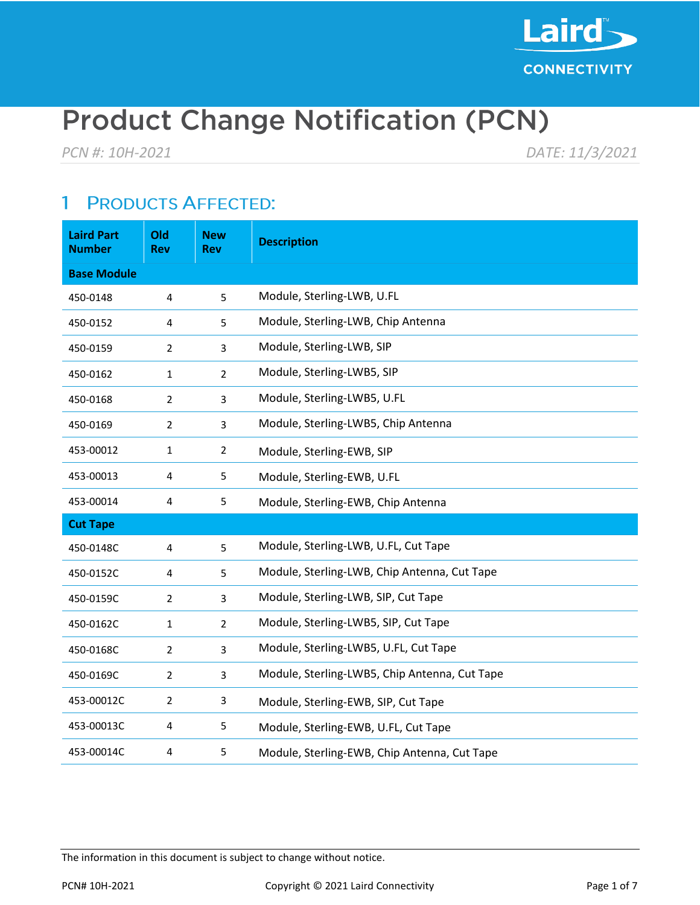

# **Product Change Notification (PCN)**

*PCN #: 10H-2021 DATE: 11/3/2021*

#### **PRODUCTS AFFECTED:** 1

| <b>Laird Part</b><br><b>Number</b> | Old<br>Rev     | <b>New</b><br><b>Rev</b> | <b>Description</b>                            |
|------------------------------------|----------------|--------------------------|-----------------------------------------------|
| <b>Base Module</b>                 |                |                          |                                               |
| 450-0148                           | 4              | 5                        | Module, Sterling-LWB, U.FL                    |
| 450-0152                           | 4              | 5                        | Module, Sterling-LWB, Chip Antenna            |
| 450-0159                           | $\overline{2}$ | 3                        | Module, Sterling-LWB, SIP                     |
| 450-0162                           | $\mathbf{1}$   | $\overline{2}$           | Module, Sterling-LWB5, SIP                    |
| 450-0168                           | $\overline{2}$ | 3                        | Module, Sterling-LWB5, U.FL                   |
| 450-0169                           | $\overline{2}$ | $\overline{3}$           | Module, Sterling-LWB5, Chip Antenna           |
| 453-00012                          | $\mathbf{1}$   | 2                        | Module, Sterling-EWB, SIP                     |
| 453-00013                          | 4              | 5                        | Module, Sterling-EWB, U.FL                    |
| 453-00014                          | 4              | 5                        | Module, Sterling-EWB, Chip Antenna            |
| <b>Cut Tape</b>                    |                |                          |                                               |
| 450-0148C                          | 4              | 5                        | Module, Sterling-LWB, U.FL, Cut Tape          |
| 450-0152C                          | 4              | 5                        | Module, Sterling-LWB, Chip Antenna, Cut Tape  |
| 450-0159C                          | $\overline{2}$ | 3                        | Module, Sterling-LWB, SIP, Cut Tape           |
| 450-0162C                          | $\mathbf{1}$   | $\overline{2}$           | Module, Sterling-LWB5, SIP, Cut Tape          |
| 450-0168C                          | $\overline{2}$ | 3                        | Module, Sterling-LWB5, U.FL, Cut Tape         |
| 450-0169C                          | $\overline{2}$ | 3                        | Module, Sterling-LWB5, Chip Antenna, Cut Tape |
| 453-00012C                         | $\overline{2}$ | 3                        | Module, Sterling-EWB, SIP, Cut Tape           |
| 453-00013C                         | 4              | 5                        | Module, Sterling-EWB, U.FL, Cut Tape          |
| 453-00014C                         | 4              | 5                        | Module, Sterling-EWB, Chip Antenna, Cut Tape  |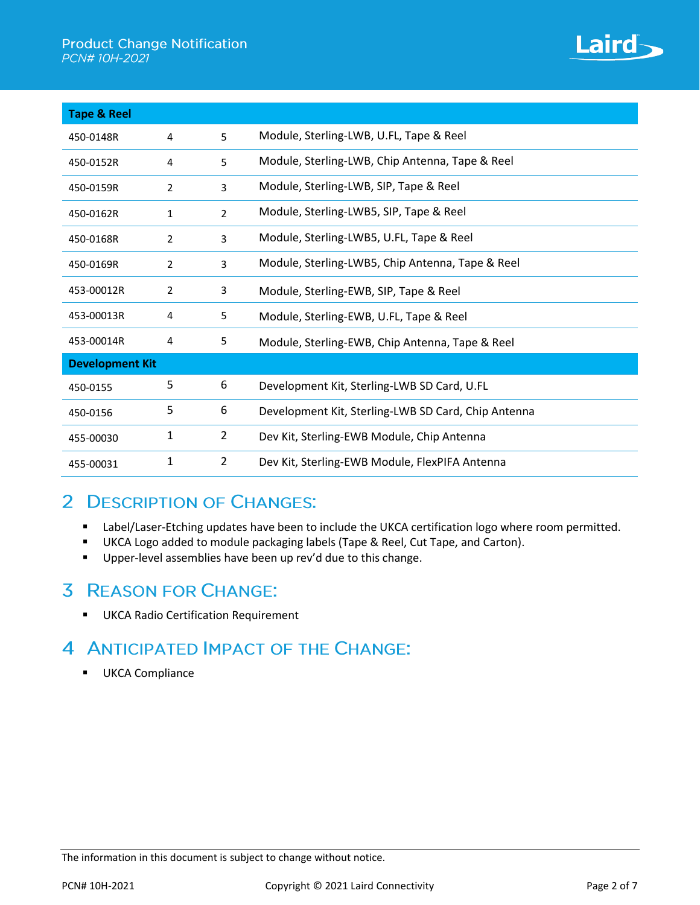

| <b>Tape &amp; Reel</b> |                |                |                                                     |  |
|------------------------|----------------|----------------|-----------------------------------------------------|--|
| 450-0148R              | 4              | 5              | Module, Sterling-LWB, U.FL, Tape & Reel             |  |
| 450-0152R              | 4              | 5              | Module, Sterling-LWB, Chip Antenna, Tape & Reel     |  |
| 450-0159R              | $\overline{2}$ | 3              | Module, Sterling-LWB, SIP, Tape & Reel              |  |
| 450-0162R              | $\mathbf{1}$   | $\overline{2}$ | Module, Sterling-LWB5, SIP, Tape & Reel             |  |
| 450-0168R              | 2              | 3              | Module, Sterling-LWB5, U.FL, Tape & Reel            |  |
| 450-0169R              | $\overline{2}$ | 3              | Module, Sterling-LWB5, Chip Antenna, Tape & Reel    |  |
| 453-00012R             | 2              | 3              | Module, Sterling-EWB, SIP, Tape & Reel              |  |
| 453-00013R             | 4              | 5              | Module, Sterling-EWB, U.FL, Tape & Reel             |  |
| 453-00014R             | 4              | 5              | Module, Sterling-EWB, Chip Antenna, Tape & Reel     |  |
| <b>Development Kit</b> |                |                |                                                     |  |
| 450-0155               | 5              | 6              | Development Kit, Sterling-LWB SD Card, U.FL         |  |
| 450-0156               | 5              | 6              | Development Kit, Sterling-LWB SD Card, Chip Antenna |  |
| 455-00030              | 1              | $\overline{2}$ | Dev Kit, Sterling-EWB Module, Chip Antenna          |  |
| 455-00031              | 1              | $\overline{2}$ | Dev Kit, Sterling-EWB Module, FlexPIFA Antenna      |  |

### 2 DESCRIPTION OF CHANGES:

- Label/Laser-Etching updates have been to include the UKCA certification logo where room permitted.
- UKCA Logo added to module packaging labels (Tape & Reel, Cut Tape, and Carton).
- **■** Upper-level assemblies have been up rev'd due to this change.

# **3 REASON FOR CHANGE:**

▪ UKCA Radio Certification Requirement

# 4 ANTICIPATED IMPACT OF THE CHANGE:

**■** UKCA Compliance

The information in this document is subject to change without notice.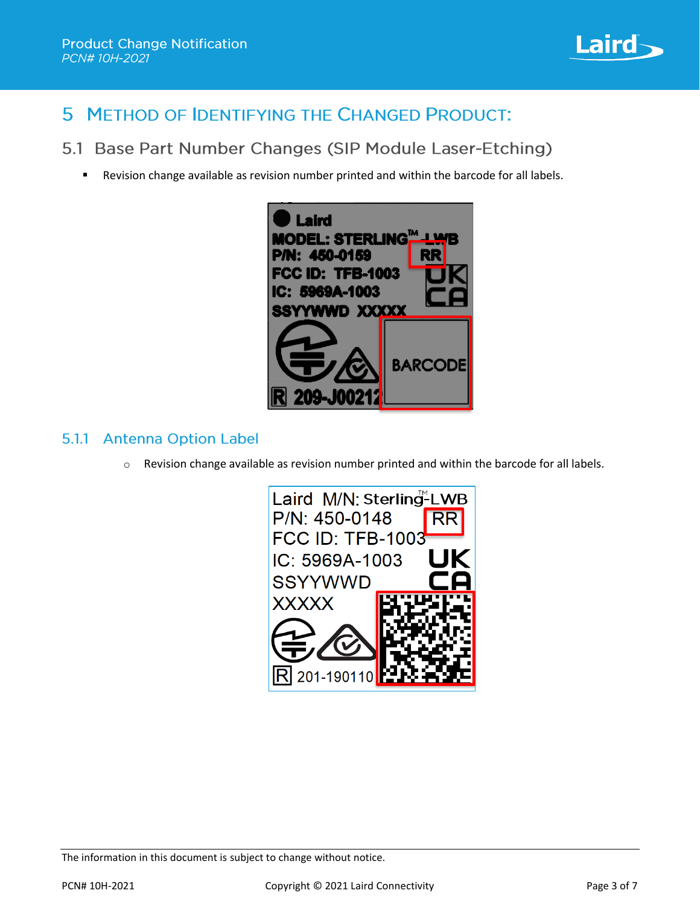

#### 5 METHOD OF IDENTIFYING THE CHANGED PRODUCT:

5.1 Base Part Number Changes (SIP Module Laser-Etching)

Revision change available as revision number printed and within the barcode for all labels.



#### 5.1.1 Antenna Option Label

 $\circ$  Revision change available as revision number printed and within the barcode for all labels.

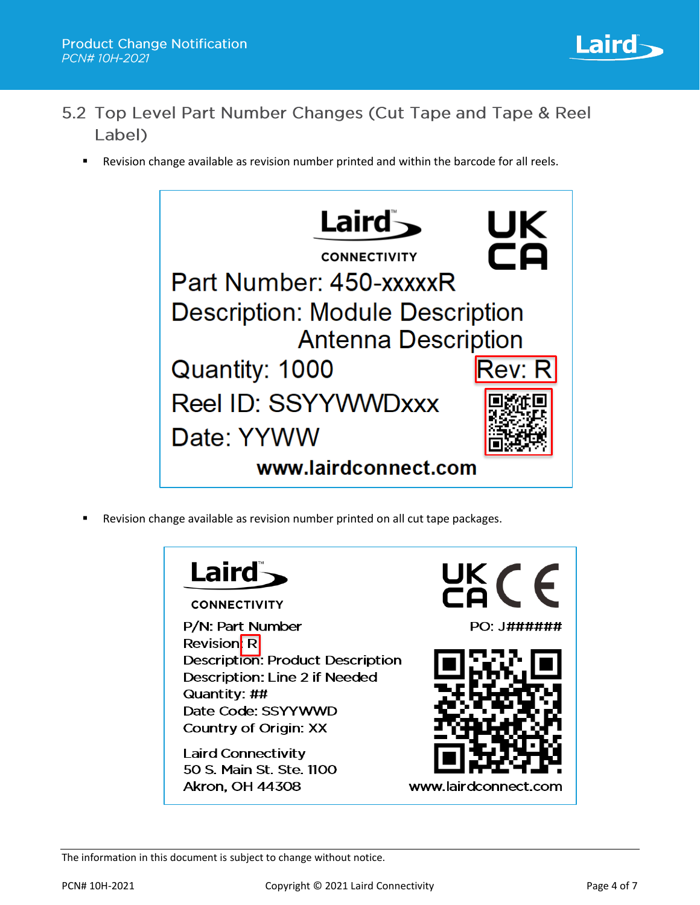

- 5.2 Top Level Part Number Changes (Cut Tape and Tape & Reel Label)
	- Revision change available as revision number printed and within the barcode for all reels.



Revision change available as revision number printed on all cut tape packages.

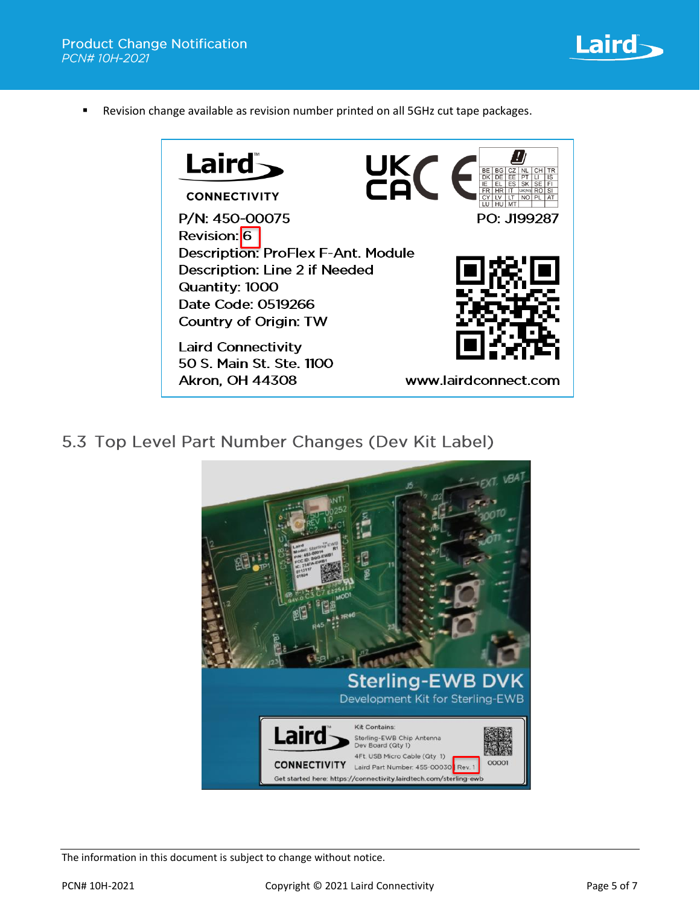

■ Revision change available as revision number printed on all 5GHz cut tape packages.



5.3 Top Level Part Number Changes (Dev Kit Label)

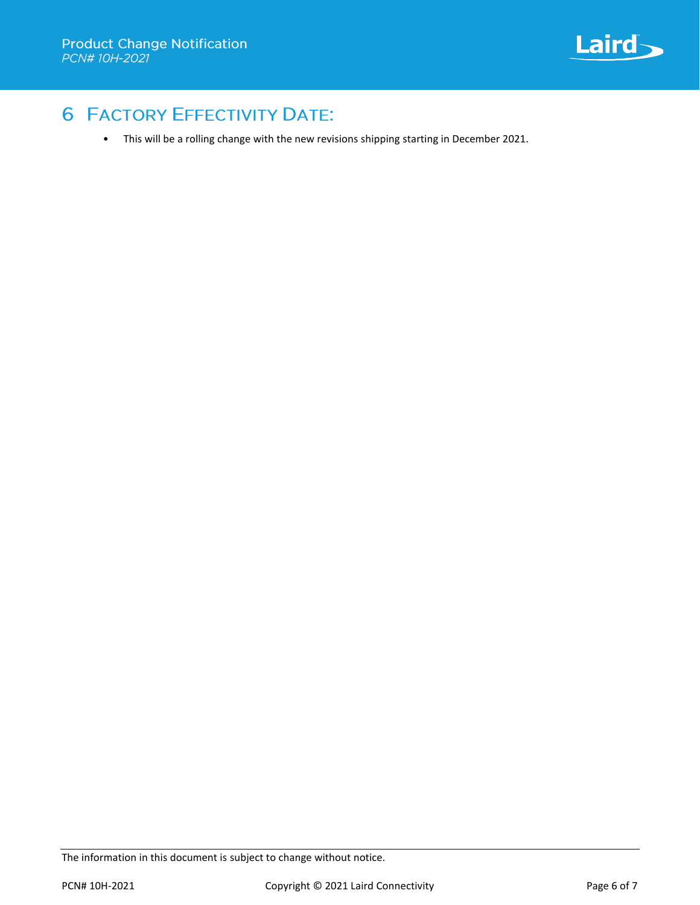

# **6 FACTORY EFFECTIVITY DATE:**

• This will be a rolling change with the new revisions shipping starting in December 2021.